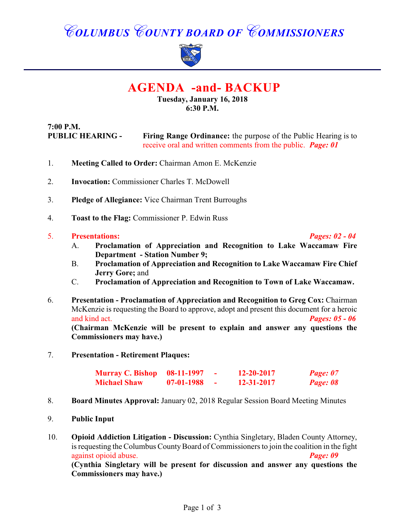# *COLUMBUS COUNTY BOARD OF COMMISSIONERS*



## **AGENDA -and- BACKUP**

#### **Tuesday, January 16, 2018 6:30 P.M.**

**7:00 P.M. PUBLIC HEARING - Firing Range Ordinance:** the purpose of the Public Hearing is to receive oral and written comments from the public. *Page: 01*

- 1. **Meeting Called to Order:** Chairman Amon E. McKenzie
- 2. **Invocation:** Commissioner Charles T. McDowell
- 3. **Pledge of Allegiance:** Vice Chairman Trent Burroughs
- 4. **Toast to the Flag:** Commissioner P. Edwin Russ

#### 5. **Presentations:** *Pages: 02 - 04*

- A. **Proclamation of Appreciation and Recognition to Lake Waccamaw Fire Department - Station Number 9;**
- B. **Proclamation of Appreciation and Recognition to Lake Waccamaw Fire Chief Jerry Gore;** and
- C. **Proclamation of Appreciation and Recognition to Town of Lake Waccamaw.**
- 6. **Presentation Proclamation of Appreciation and Recognition to Greg Cox:** Chairman McKenzie is requesting the Board to approve, adopt and present this document for a heroic and kind act. *Pages: 05 - 06* **(Chairman McKenzie will be present to explain and answer any questions the Commissioners may have.)**
- 7. **Presentation Retirement Plaques:**

| <b>Murray C. Bishop</b> 08-11-1997 |              | 12-20-2017 | Page: 07 |
|------------------------------------|--------------|------------|----------|
| <b>Michael Shaw</b>                | $07-01-1988$ | 12-31-2017 | Page: 08 |

- 8. **Board Minutes Approval:** January 02, 2018 Regular Session Board Meeting Minutes
- 9. **Public Input**
- 10. **Opioid Addiction Litigation Discussion:** Cynthia Singletary, Bladen County Attorney, is requesting the Columbus County Board of Commissioners to join the coalition in the fight against opioid abuse. *Page: 09* **(Cynthia Singletary will be present for discussion and answer any questions the Commissioners may have.)**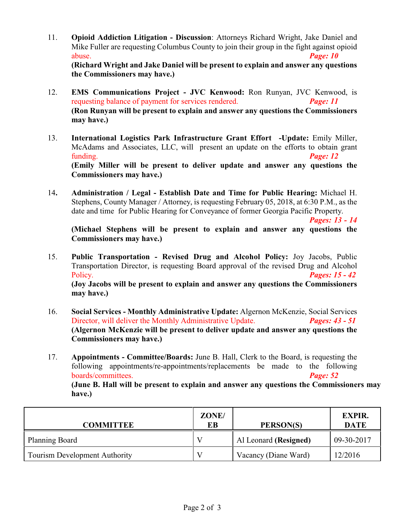- 11. **Opioid Addiction Litigation Discussion**: Attorneys Richard Wright, Jake Daniel and Mike Fuller are requesting Columbus County to join their group in the fight against opioid abuse. *Page: 10* **(Richard Wright and Jake Daniel will be present to explain and answer any questions the Commissioners may have.)**
- 12. **EMS Communications Project JVC Kenwood:** Ron Runyan, JVC Kenwood, is requesting balance of payment for services rendered. *Page: 11* **(Ron Runyan will be present to explain and answer any questions the Commissioners may have.)**
- 13. **International Logistics Park Infrastructure Grant Effort -Update:** Emily Miller, McAdams and Associates, LLC, will present an update on the efforts to obtain grant funding. *Page: 12* **(Emily Miller will be present to deliver update and answer any questions the Commissioners may have.)**
- 14**. Administration / Legal Establish Date and Time for Public Hearing:** Michael H. Stephens, County Manager / Attorney, is requesting February 05, 2018, at 6:30 P.M., as the date and time for Public Hearing for Conveyance of former Georgia Pacific Property.

*Pages: 13 - 14*

**(Michael Stephens will be present to explain and answer any questions the Commissioners may have.)**

- 15. **Public Transportation Revised Drug and Alcohol Policy:** Joy Jacobs, Public Transportation Director, is requesting Board approval of the revised Drug and Alcohol Policy. *Pages: 15 - 42* **(Joy Jacobs will be present to explain and answer any questions the Commissioners may have.)**
- 16. **Social Services Monthly Administrative Update:** Algernon McKenzie, Social Services Director, will deliver the Monthly Administrative Update. *Pages: 43 - 51* **(Algernon McKenzie will be present to deliver update and answer any questions the Commissioners may have.)**
- 17. **Appointments Committee/Boards:** June B. Hall, Clerk to the Board, is requesting the following appointments/re-appointments/replacements be made to the following boards/committees. *Page: 52*

**(June B. Hall will be present to explain and answer any questions the Commissioners may have.)**

| <b>COMMITTEE</b>                     | ZONE/<br>EВ | PERSON(S)             | <b>EXPIR.</b><br><b>DATE</b> |
|--------------------------------------|-------------|-----------------------|------------------------------|
| <b>Planning Board</b>                |             | Al Leonard (Resigned) | 09-30-2017                   |
| <b>Tourism Development Authority</b> |             | Vacancy (Diane Ward)  | 12/2016                      |